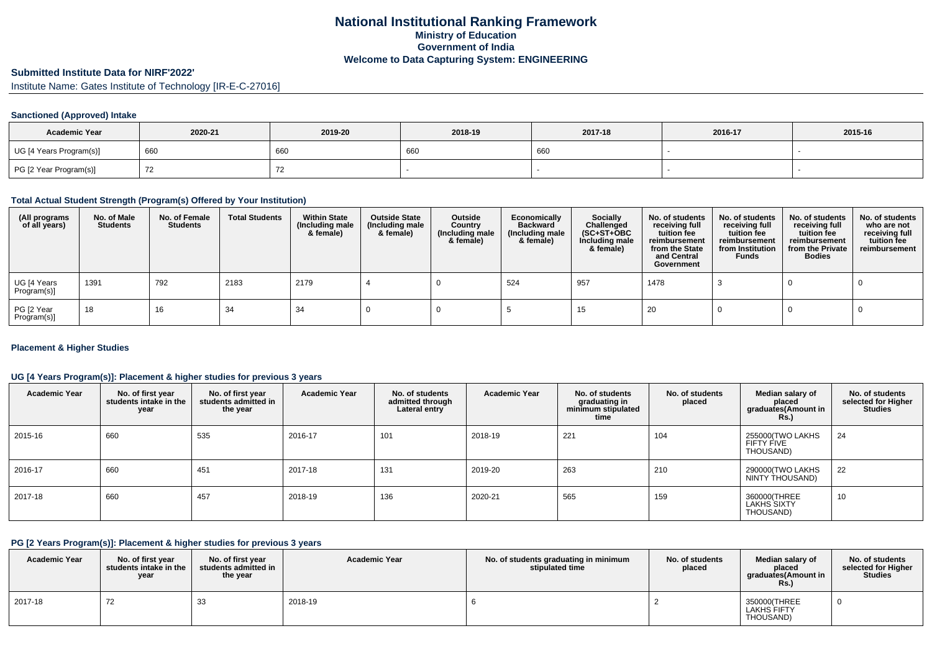# **National Institutional Ranking FrameworkMinistry of Education Government of IndiaWelcome to Data Capturing System: ENGINEERING**

### **Submitted Institute Data for NIRF'2022'**

Institute Name: Gates Institute of Technology [IR-E-C-27016]

### **Sanctioned (Approved) Intake**

| <b>Academic Year</b>    | 2020-21 | 2019-20 | 2018-19 | 2017-18 | 2016-17 | 2015-16 |
|-------------------------|---------|---------|---------|---------|---------|---------|
| UG [4 Years Program(s)] | 660     | 660     | 660     | 660     |         |         |
| PG [2 Year Program(s)]  |         |         |         |         |         |         |

#### **Total Actual Student Strength (Program(s) Offered by Your Institution)**

| (All programs<br>of all years) | No. of Male<br><b>Students</b> | No. of Female<br>Students | <b>Total Students</b> | <b>Within State</b><br>(Including male<br>& female) | <b>Outside State</b><br>(Including male<br>& female) | Outside<br>Country<br>(Including male<br>& female) | Economically<br><b>Backward</b><br>(Including male<br>& female) | <b>Socially</b><br>Challenged<br>$(SC+ST+OBC)$<br>Including male<br>& female) | No. of students<br>receiving full<br>tuition fee<br>reimbursement<br>from the State<br>and Central<br>Government | No. of students<br>receiving full<br>tuition fee<br>reimbursement<br>from Institution<br><b>Funds</b> | No. of students<br>receiving full<br>tuition fee<br>reimbursement<br>from the Private<br><b>Bodies</b> | No. of students<br>who are not<br>receiving full<br>tuition fee<br>reimbursement |
|--------------------------------|--------------------------------|---------------------------|-----------------------|-----------------------------------------------------|------------------------------------------------------|----------------------------------------------------|-----------------------------------------------------------------|-------------------------------------------------------------------------------|------------------------------------------------------------------------------------------------------------------|-------------------------------------------------------------------------------------------------------|--------------------------------------------------------------------------------------------------------|----------------------------------------------------------------------------------|
| UG [4 Years<br>Program(s)]     | 1391                           | 792                       | 2183                  | 2179                                                |                                                      |                                                    | 524                                                             | 957                                                                           | 1478                                                                                                             |                                                                                                       |                                                                                                        |                                                                                  |
| PG [2 Year<br>Program(s)]      | 18                             | 16                        | 34                    | -34                                                 |                                                      |                                                    |                                                                 | 15                                                                            | 20                                                                                                               |                                                                                                       |                                                                                                        |                                                                                  |

### **Placement & Higher Studies**

### **UG [4 Years Program(s)]: Placement & higher studies for previous 3 years**

| <b>Academic Year</b> | No. of first year<br>students intake in the<br>year | No. of first year<br>students admitted in<br>the year | <b>Academic Year</b> | No. of students<br>admitted through<br>Lateral entry | <b>Academic Year</b> | No. of students<br>graduating in<br>minimum stipulated<br>time | No. of students<br>placed | Median salary of<br>placed<br>graduates(Amount in<br><b>Rs.)</b> | No. of students<br>selected for Higher<br><b>Studies</b> |
|----------------------|-----------------------------------------------------|-------------------------------------------------------|----------------------|------------------------------------------------------|----------------------|----------------------------------------------------------------|---------------------------|------------------------------------------------------------------|----------------------------------------------------------|
| 2015-16              | 660                                                 | 535                                                   | 2016-17              | 101                                                  | 2018-19              | 221                                                            | 104                       | 255000(TWO LAKHS<br>FIFTY FIVE<br>THOUSAND)                      | 24                                                       |
| 2016-17              | 660                                                 | 451                                                   | 2017-18              | 131                                                  | 2019-20              | 263                                                            | 210                       | 290000(TWO LAKHS<br>NINTY THOUSAND)                              | 22                                                       |
| 2017-18              | 660                                                 | 457                                                   | 2018-19              | 136                                                  | 2020-21              | 565                                                            | 159                       | 360000(THREE<br><b>LAKHS SIXTY</b><br>THOUSAND)                  | 10                                                       |

#### **PG [2 Years Program(s)]: Placement & higher studies for previous 3 years**

| <b>Academic Year</b> | No. of first year<br>students intake in the I<br>year | No. of first year<br>students admitted in<br>the year | <b>Academic Year</b> | No. of students graduating in minimum<br>stipulated time | No. of students<br>placed | Median salary of<br>placed<br>graduates(Amount in<br>Rs. | No. of students<br>selected for Higher<br>Studies |
|----------------------|-------------------------------------------------------|-------------------------------------------------------|----------------------|----------------------------------------------------------|---------------------------|----------------------------------------------------------|---------------------------------------------------|
| 2017-18              | 72                                                    | ີ<br>ഄഄ                                               | 2018-19              |                                                          |                           | 350000(THREE<br><b>LAKHS FIFTY</b><br>THOUSAND)          |                                                   |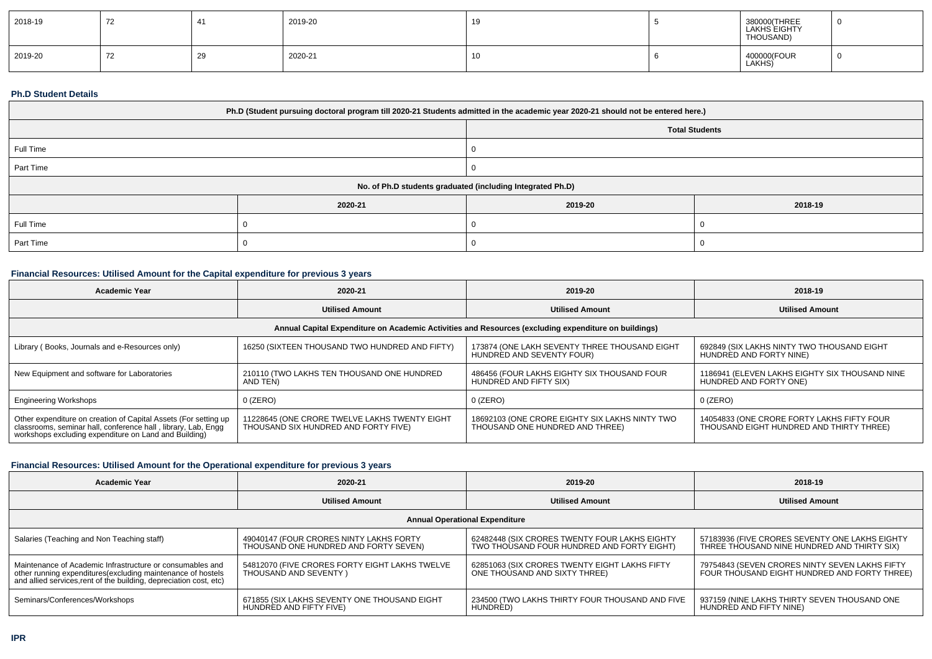| 2018-19 | 72 | $\overline{\phantom{a}}$ | 2019-20 |     | 380000(THREE<br>LAKHS EIGHTY<br>THOUSAND) |  |
|---------|----|--------------------------|---------|-----|-------------------------------------------|--|
| 2019-20 | 72 | تت                       | 2020-21 | . . | 400000(FOUR<br>  LAKHS)                   |  |

### **Ph.D Student Details**

| Ph.D (Student pursuing doctoral program till 2020-21 Students admitted in the academic year 2020-21 should not be entered here.) |         |         |         |  |  |
|----------------------------------------------------------------------------------------------------------------------------------|---------|---------|---------|--|--|
| <b>Total Students</b>                                                                                                            |         |         |         |  |  |
| Full Time                                                                                                                        |         |         |         |  |  |
| Part Time                                                                                                                        |         |         |         |  |  |
| No. of Ph.D students graduated (including Integrated Ph.D)                                                                       |         |         |         |  |  |
|                                                                                                                                  | 2020-21 | 2019-20 | 2018-19 |  |  |
| Full Time                                                                                                                        |         |         |         |  |  |
| Part Time                                                                                                                        |         |         |         |  |  |

# **Financial Resources: Utilised Amount for the Capital expenditure for previous 3 years**

| Academic Year                                                                                                                                                                             | 2020-21                                                                               | 2019-20                                                                           | 2018-19                                                                                |  |  |  |  |
|-------------------------------------------------------------------------------------------------------------------------------------------------------------------------------------------|---------------------------------------------------------------------------------------|-----------------------------------------------------------------------------------|----------------------------------------------------------------------------------------|--|--|--|--|
|                                                                                                                                                                                           | <b>Utilised Amount</b>                                                                | <b>Utilised Amount</b>                                                            | <b>Utilised Amount</b>                                                                 |  |  |  |  |
| Annual Capital Expenditure on Academic Activities and Resources (excluding expenditure on buildings)                                                                                      |                                                                                       |                                                                                   |                                                                                        |  |  |  |  |
| Library (Books, Journals and e-Resources only)                                                                                                                                            | 16250 (SIXTEEN THOUSAND TWO HUNDRED AND FIFTY)                                        | 173874 (ONE LAKH SEVENTY THREE THOUSAND EIGHT<br>HUNDRED AND SEVENTY FOUR)        | 692849 (SIX LAKHS NINTY TWO THOUSAND EIGHT<br>HUNDRED AND FORTY NINE)                  |  |  |  |  |
| New Equipment and software for Laboratories                                                                                                                                               | 210110 (TWO LAKHS TEN THOUSAND ONE HUNDRED<br>AND TEN)                                | 486456 (FOUR LAKHS EIGHTY SIX THOUSAND FOUR<br>HUNDRED AND FIFTY SIX)             | 1186941 (ELEVEN LAKHS EIGHTY SIX THOUSAND NINE<br>HUNDRED AND FORTY ONE)               |  |  |  |  |
| <b>Engineering Workshops</b>                                                                                                                                                              | 0 (ZERO)                                                                              | $0$ (ZERO)                                                                        | $0$ (ZERO)                                                                             |  |  |  |  |
| Other expenditure on creation of Capital Assets (For setting up<br>classrooms, seminar hall, conference hall, library, Lab, Engg<br>workshops excluding expenditure on Land and Building) | 11228645 (ONE CRORE TWELVE LAKHS TWENTY EIGHT<br>THOUSAND SIX HUNDRED AND FORTY FIVE) | 18692103 (ONE CRORE EIGHTY SIX LAKHS NINTY TWO<br>THOUSAND ONE HUNDRED AND THREE) | 14054833 (ONE CRORE FORTY LAKHS FIFTY FOUR<br>THOUSAND EIGHT HUNDRED AND THIRTY THREE) |  |  |  |  |

## **Financial Resources: Utilised Amount for the Operational expenditure for previous 3 years**

| Academic Year                                                                                                                                                                                  | 2020-21                                                                          | 2019-20                                                                                     | 2018-19                                                                                        |  |  |  |  |
|------------------------------------------------------------------------------------------------------------------------------------------------------------------------------------------------|----------------------------------------------------------------------------------|---------------------------------------------------------------------------------------------|------------------------------------------------------------------------------------------------|--|--|--|--|
|                                                                                                                                                                                                | <b>Utilised Amount</b>                                                           | <b>Utilised Amount</b>                                                                      | <b>Utilised Amount</b>                                                                         |  |  |  |  |
| <b>Annual Operational Expenditure</b>                                                                                                                                                          |                                                                                  |                                                                                             |                                                                                                |  |  |  |  |
| Salaries (Teaching and Non Teaching staff)                                                                                                                                                     | 49040147 (FOUR CRORES NINTY LAKHS FORTY<br>THOUSAND ONE HUNDRED AND FORTY SEVEN) | 62482448 (SIX CRORES TWENTY FOUR LAKHS EIGHTY<br>TWO THOUSAND FOUR HUNDRED AND FORTY EIGHT) | 57183936 (FIVE CRORES SEVENTY ONE LAKHS EIGHTY<br>THREE THOUSAND NINE HUNDRED AND THIRTY SIX)  |  |  |  |  |
| Maintenance of Academic Infrastructure or consumables and<br>other running expenditures(excluding maintenance of hostels<br>and allied services, rent of the building, depreciation cost, etc) | 54812070 (FIVE CRORES FORTY EIGHT LAKHS TWELVE<br>THOUSAND AND SEVENTY )         | 62851063 (SIX CRORES TWENTY EIGHT LAKHS FIFTY<br>ONE THOUSAND AND SIXTY THREE)              | 79754843 (SEVEN CRORES NINTY SEVEN LAKHS FIFTY<br>FOUR THOUSAND EIGHT HUNDRED AND FORTY THREE) |  |  |  |  |
| Seminars/Conferences/Workshops                                                                                                                                                                 | 671855 (SIX LAKHS SEVENTY ONE THOUSAND EIGHT<br>HUNDRED AND FIFTY FIVE)          | 234500 (TWO LAKHS THIRTY FOUR THOUSAND AND FIVE<br>HUNDRED)                                 | 937159 (NINE LAKHS THIRTY SEVEN THOUSAND ONE<br>HUNDRED AND FIFTY NINE)                        |  |  |  |  |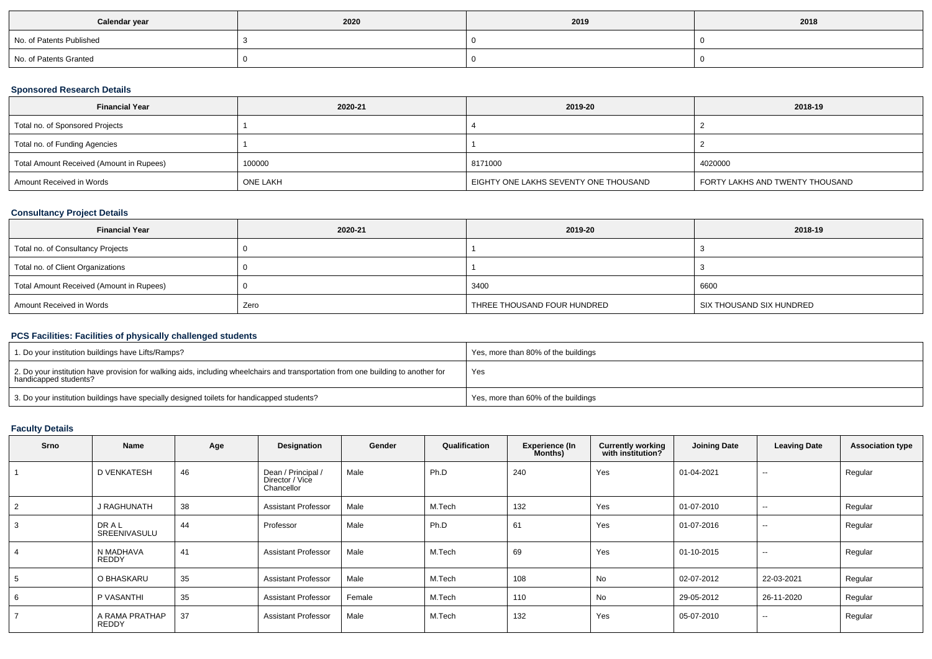| Calendar year            | 2020 | 2019 | 2018 |
|--------------------------|------|------|------|
| No. of Patents Published |      |      |      |
| No. of Patents Granted   |      |      |      |

## **Sponsored Research Details**

| <b>Financial Year</b>                    | 2020-21         | 2019-20                               | 2018-19                         |
|------------------------------------------|-----------------|---------------------------------------|---------------------------------|
| Total no. of Sponsored Projects          |                 |                                       |                                 |
| Total no. of Funding Agencies            |                 |                                       |                                 |
| Total Amount Received (Amount in Rupees) | 100000          | 8171000                               | 4020000                         |
| Amount Received in Words                 | <b>ONE LAKH</b> | EIGHTY ONE LAKHS SEVENTY ONE THOUSAND | FORTY LAKHS AND TWENTY THOUSAND |

## **Consultancy Project Details**

| <b>Financial Year</b>                    | 2020-21 | 2019-20                     | 2018-19                  |
|------------------------------------------|---------|-----------------------------|--------------------------|
| Total no. of Consultancy Projects        |         |                             |                          |
| Total no. of Client Organizations        |         |                             |                          |
| Total Amount Received (Amount in Rupees) |         | 3400                        | 6600                     |
| Amount Received in Words                 | Zero    | THREE THOUSAND FOUR HUNDRED | SIX THOUSAND SIX HUNDRED |

## **PCS Facilities: Facilities of physically challenged students**

| 1. Do your institution buildings have Lifts/Ramps?                                                                                                         | Yes, more than 80% of the buildings |
|------------------------------------------------------------------------------------------------------------------------------------------------------------|-------------------------------------|
| 2. Do your institution have provision for walking aids, including wheelchairs and transportation from one building to another for<br>handicapped students? | Yes                                 |
| 3. Do your institution buildings have specially designed toilets for handicapped students?                                                                 | Yes, more than 60% of the buildings |

## **Faculty Details**

| Srno | Name                           | Age | Designation                                         | Gender | Qualification | <b>Experience (In</b><br>Months) | <b>Currently working</b><br>with institution? | <b>Joining Date</b> | <b>Leaving Date</b>      | <b>Association type</b> |
|------|--------------------------------|-----|-----------------------------------------------------|--------|---------------|----------------------------------|-----------------------------------------------|---------------------|--------------------------|-------------------------|
|      | D VENKATESH                    | 46  | Dean / Principal /<br>Director / Vice<br>Chancellor | Male   | Ph.D          | 240                              | Yes                                           | 01-04-2021          | $\sim$                   | Regular                 |
|      | J RAGHUNATH                    | 38  | <b>Assistant Professor</b>                          | Male   | M.Tech        | 132                              | Yes                                           | 01-07-2010          | --                       | Regular                 |
|      | DRAL<br>SREENIVASULU           | 44  | Professor                                           | Male   | Ph.D          | 61                               | Yes                                           | 01-07-2016          | $\sim$                   | Regular                 |
|      | N MADHAVA<br>REDDY             | 41  | <b>Assistant Professor</b>                          | Male   | M.Tech        | 69                               | Yes                                           | 01-10-2015          | $\sim$                   | Regular                 |
|      | O BHASKARU                     | 35  | <b>Assistant Professor</b>                          | Male   | M.Tech        | 108                              | No                                            | 02-07-2012          | 22-03-2021               | Regular                 |
|      | P VASANTHI                     | 35  | <b>Assistant Professor</b>                          | Female | M.Tech        | 110                              | No                                            | 29-05-2012          | 26-11-2020               | Regular                 |
|      | A RAMA PRATHAP<br><b>REDDY</b> | 37  | <b>Assistant Professor</b>                          | Male   | M.Tech        | 132                              | Yes                                           | 05-07-2010          | $\overline{\phantom{a}}$ | Regular                 |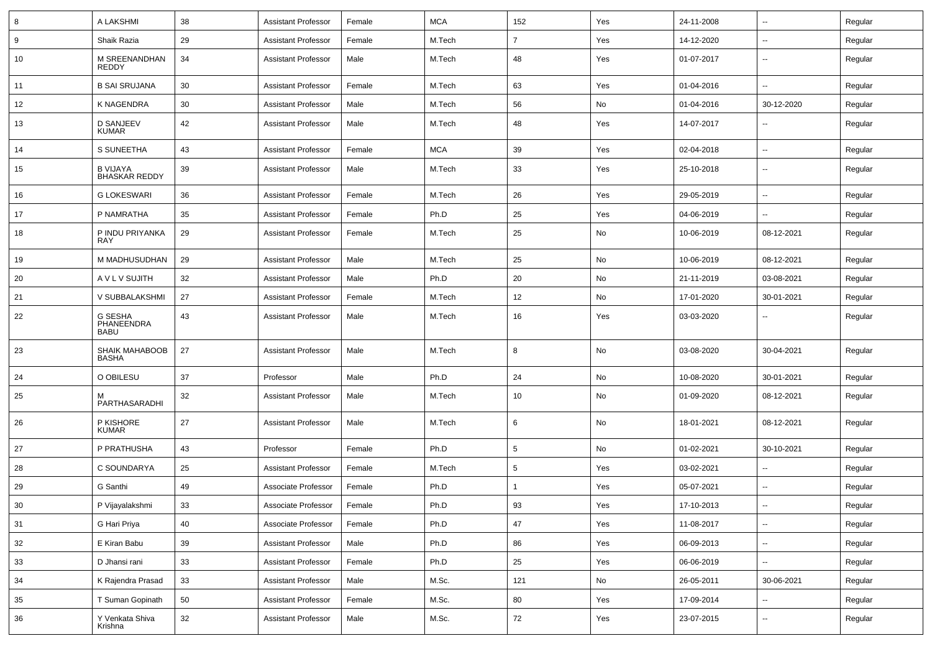| 8      | A LAKSHMI                               | 38 | <b>Assistant Professor</b> | Female | <b>MCA</b> | 152            | Yes | 24-11-2008 | $\overline{\phantom{a}}$ | Regular |
|--------|-----------------------------------------|----|----------------------------|--------|------------|----------------|-----|------------|--------------------------|---------|
| 9      | Shaik Razia                             | 29 | <b>Assistant Professor</b> | Female | M.Tech     | $\overline{7}$ | Yes | 14-12-2020 | --                       | Regular |
| 10     | M SREENANDHAN<br>REDDY                  | 34 | <b>Assistant Professor</b> | Male   | M.Tech     | 48             | Yes | 01-07-2017 | $\overline{\phantom{a}}$ | Regular |
| 11     | <b>B SAI SRUJANA</b>                    | 30 | <b>Assistant Professor</b> | Female | M.Tech     | 63             | Yes | 01-04-2016 | --                       | Regular |
| 12     | K NAGENDRA                              | 30 | <b>Assistant Professor</b> | Male   | M.Tech     | 56             | No  | 01-04-2016 | 30-12-2020               | Regular |
| 13     | <b>D SANJEEV</b><br><b>KUMAR</b>        | 42 | <b>Assistant Professor</b> | Male   | M.Tech     | 48             | Yes | 14-07-2017 |                          | Regular |
| 14     | S SUNEETHA                              | 43 | <b>Assistant Professor</b> | Female | <b>MCA</b> | 39             | Yes | 02-04-2018 | $\overline{\phantom{a}}$ | Regular |
| 15     | <b>B VIJAYA</b><br><b>BHASKAR REDDY</b> | 39 | <b>Assistant Professor</b> | Male   | M.Tech     | 33             | Yes | 25-10-2018 | $\overline{\phantom{a}}$ | Regular |
| 16     | <b>G LOKESWARI</b>                      | 36 | <b>Assistant Professor</b> | Female | M.Tech     | 26             | Yes | 29-05-2019 | ⊷.                       | Regular |
| 17     | P NAMRATHA                              | 35 | <b>Assistant Professor</b> | Female | Ph.D       | 25             | Yes | 04-06-2019 | ⊷.                       | Regular |
| 18     | P INDU PRIYANKA<br>RAY                  | 29 | <b>Assistant Professor</b> | Female | M.Tech     | 25             | No  | 10-06-2019 | 08-12-2021               | Regular |
| 19     | M MADHUSUDHAN                           | 29 | <b>Assistant Professor</b> | Male   | M.Tech     | 25             | No  | 10-06-2019 | 08-12-2021               | Regular |
| 20     | A V L V SUJITH                          | 32 | <b>Assistant Professor</b> | Male   | Ph.D       | 20             | No  | 21-11-2019 | 03-08-2021               | Regular |
| 21     | V SUBBALAKSHMI                          | 27 | <b>Assistant Professor</b> | Female | M.Tech     | 12             | No  | 17-01-2020 | 30-01-2021               | Regular |
| 22     | G SESHA<br>PHANEENDRA<br><b>BABU</b>    | 43 | <b>Assistant Professor</b> | Male   | M.Tech     | 16             | Yes | 03-03-2020 |                          | Regular |
| -23    | <b>SHAIK MAHABOOB</b><br><b>BASHA</b>   | 27 | <b>Assistant Professor</b> | Male   | M.Tech     | 8              | No  | 03-08-2020 | 30-04-2021               | Regular |
| 24     | O OBILESU                               | 37 | Professor                  | Male   | Ph.D       | 24             | No  | 10-08-2020 | 30-01-2021               | Regular |
| 25     | PARTHASARADHI                           | 32 | <b>Assistant Professor</b> | Male   | M.Tech     | 10             | No  | 01-09-2020 | 08-12-2021               | Regular |
| 26     | P KISHORE<br><b>KUMAR</b>               | 27 | <b>Assistant Professor</b> | Male   | M.Tech     | 6              | No  | 18-01-2021 | 08-12-2021               | Regular |
| 27     | P PRATHUSHA                             | 43 | Professor                  | Female | Ph.D       | 5              | No  | 01-02-2021 | 30-10-2021               | Regular |
| 28     | C SOUNDARYA                             | 25 | <b>Assistant Professor</b> | Female | M.Tech     | 5              | Yes | 03-02-2021 | ⊷.                       | Regular |
| 29     | G Santhi                                | 49 | Associate Professor        | Female | Ph.D       | $\mathbf 1$    | Yes | 05-07-2021 | ⊷.                       | Regular |
| 30     | P Vijayalakshmi                         | 33 | Associate Professor        | Female | Ph.D       | 93             | Yes | 17-10-2013 | $\overline{\phantom{a}}$ | Regular |
| 31     | G Hari Priya                            | 40 | Associate Professor        | Female | Ph.D       | 47             | Yes | 11-08-2017 | ш,                       | Regular |
| $32\,$ | E Kiran Babu                            | 39 | <b>Assistant Professor</b> | Male   | Ph.D       | 86             | Yes | 06-09-2013 | --                       | Regular |
| 33     | D Jhansi rani                           | 33 | <b>Assistant Professor</b> | Female | Ph.D       | 25             | Yes | 06-06-2019 | Щ,                       | Regular |
| 34     | K Rajendra Prasad                       | 33 | <b>Assistant Professor</b> | Male   | M.Sc.      | 121            | No  | 26-05-2011 | 30-06-2021               | Regular |
| 35     | T Suman Gopinath                        | 50 | <b>Assistant Professor</b> | Female | M.Sc.      | 80             | Yes | 17-09-2014 | $\overline{\phantom{a}}$ | Regular |
| 36     | Y Venkata Shiva<br>Krishna              | 32 | <b>Assistant Professor</b> | Male   | M.Sc.      | 72             | Yes | 23-07-2015 | --                       | Regular |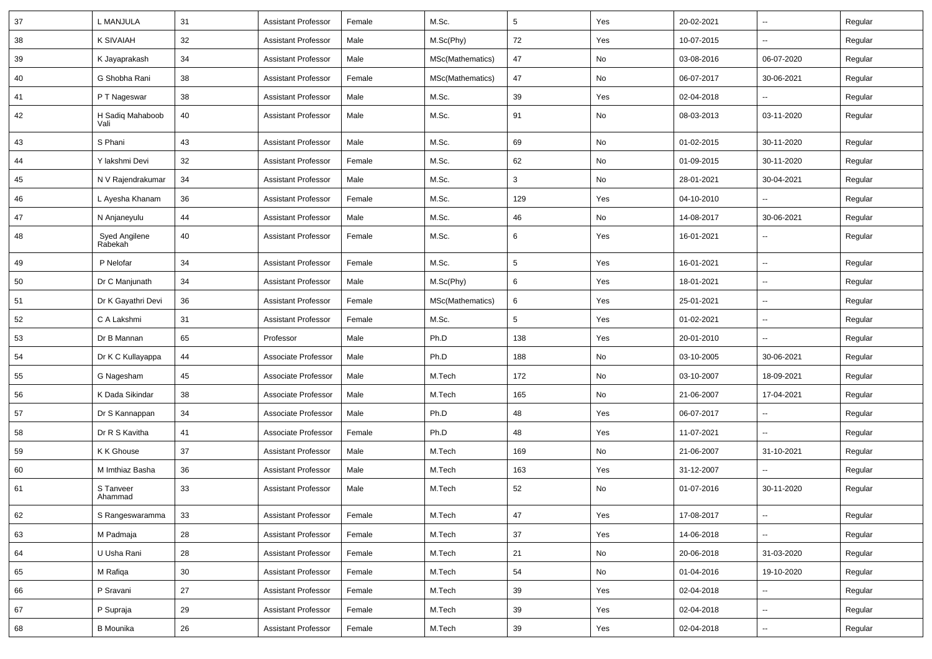| 37 | L MANJULA                | 31 | <b>Assistant Professor</b> | Female | M.Sc.            | $5\phantom{.0}$ | Yes | 20-02-2021 | ⊶.                       | Regular |
|----|--------------------------|----|----------------------------|--------|------------------|-----------------|-----|------------|--------------------------|---------|
| 38 | <b>K SIVAIAH</b>         | 32 | <b>Assistant Professor</b> | Male   | M.Sc(Phy)        | 72              | Yes | 10-07-2015 | -−                       | Regular |
| 39 | K Jayaprakash            | 34 | <b>Assistant Professor</b> | Male   | MSc(Mathematics) | 47              | No  | 03-08-2016 | 06-07-2020               | Regular |
| 40 | G Shobha Rani            | 38 | <b>Assistant Professor</b> | Female | MSc(Mathematics) | 47              | No  | 06-07-2017 | 30-06-2021               | Regular |
| 41 | P T Nageswar             | 38 | <b>Assistant Professor</b> | Male   | M.Sc.            | 39              | Yes | 02-04-2018 |                          | Regular |
| 42 | H Sadiq Mahaboob<br>Vali | 40 | <b>Assistant Professor</b> | Male   | M.Sc.            | 91              | No  | 08-03-2013 | 03-11-2020               | Regular |
| 43 | S Phani                  | 43 | <b>Assistant Professor</b> | Male   | M.Sc.            | 69              | No  | 01-02-2015 | 30-11-2020               | Regular |
| 44 | Y lakshmi Devi           | 32 | <b>Assistant Professor</b> | Female | M.Sc.            | 62              | No  | 01-09-2015 | 30-11-2020               | Regular |
| 45 | N V Rajendrakumar        | 34 | <b>Assistant Professor</b> | Male   | M.Sc.            | $\mathbf{3}$    | No  | 28-01-2021 | 30-04-2021               | Regular |
| 46 | L Ayesha Khanam          | 36 | <b>Assistant Professor</b> | Female | M.Sc.            | 129             | Yes | 04-10-2010 | $\sim$                   | Regular |
| 47 | N Anjaneyulu             | 44 | <b>Assistant Professor</b> | Male   | M.Sc.            | 46              | No  | 14-08-2017 | 30-06-2021               | Regular |
| 48 | Syed Angilene<br>Rabekah | 40 | <b>Assistant Professor</b> | Female | M.Sc.            | 6               | Yes | 16-01-2021 |                          | Regular |
| 49 | P Nelofar                | 34 | <b>Assistant Professor</b> | Female | M.Sc.            | $5\phantom{.0}$ | Yes | 16-01-2021 | -−                       | Regular |
| 50 | Dr C Manjunath           | 34 | <b>Assistant Professor</b> | Male   | M.Sc(Phy)        | 6               | Yes | 18-01-2021 | $\sim$                   | Regular |
| 51 | Dr K Gayathri Devi       | 36 | <b>Assistant Professor</b> | Female | MSc(Mathematics) | 6               | Yes | 25-01-2021 | ⊶.                       | Regular |
| 52 | C A Lakshmi              | 31 | <b>Assistant Professor</b> | Female | M.Sc.            | $5\phantom{.0}$ | Yes | 01-02-2021 | н.                       | Regular |
| 53 | Dr B Mannan              | 65 | Professor                  | Male   | Ph.D             | 138             | Yes | 20-01-2010 | Ξ.                       | Regular |
| 54 | Dr K C Kullayappa        | 44 | Associate Professor        | Male   | Ph.D             | 188             | No  | 03-10-2005 | 30-06-2021               | Regular |
| 55 | G Nagesham               | 45 | Associate Professor        | Male   | M.Tech           | 172             | No  | 03-10-2007 | 18-09-2021               | Regular |
| 56 | K Dada Sikindar          | 38 | Associate Professor        | Male   | M.Tech           | 165             | No  | 21-06-2007 | 17-04-2021               | Regular |
| 57 | Dr S Kannappan           | 34 | Associate Professor        | Male   | Ph.D             | 48              | Yes | 06-07-2017 | $\overline{\phantom{a}}$ | Regular |
| 58 | Dr R S Kavitha           | 41 | Associate Professor        | Female | Ph.D             | 48              | Yes | 11-07-2021 | -−                       | Regular |
| 59 | K K Ghouse               | 37 | <b>Assistant Professor</b> | Male   | M.Tech           | 169             | No  | 21-06-2007 | 31-10-2021               | Regular |
| 60 | M Imthiaz Basha          | 36 | <b>Assistant Professor</b> | Male   | M.Tech           | 163             | Yes | 31-12-2007 |                          | Regular |
| 61 | S Tanveer<br>Ahammad     | 33 | <b>Assistant Professor</b> | Male   | M.Tech           | 52              | No  | 01-07-2016 | 30-11-2020               | Regular |
| 62 | S Rangeswaramma          | 33 | <b>Assistant Professor</b> | Female | M.Tech           | 47              | Yes | 17-08-2017 | Щ,                       | Regular |
| 63 | M Padmaja                | 28 | <b>Assistant Professor</b> | Female | M.Tech           | 37              | Yes | 14-06-2018 | ц.                       | Regular |
| 64 | U Usha Rani              | 28 | <b>Assistant Professor</b> | Female | M.Tech           | 21              | No  | 20-06-2018 | 31-03-2020               | Regular |
| 65 | M Rafiqa                 | 30 | <b>Assistant Professor</b> | Female | M.Tech           | 54              | No  | 01-04-2016 | 19-10-2020               | Regular |
| 66 | P Sravani                | 27 | <b>Assistant Professor</b> | Female | M.Tech           | 39              | Yes | 02-04-2018 | Щ,                       | Regular |
| 67 | P Supraja                | 29 | <b>Assistant Professor</b> | Female | M.Tech           | 39              | Yes | 02-04-2018 | -−                       | Regular |
| 68 | <b>B</b> Mounika         | 26 | <b>Assistant Professor</b> | Female | M.Tech           | 39              | Yes | 02-04-2018 | $\overline{\phantom{a}}$ | Regular |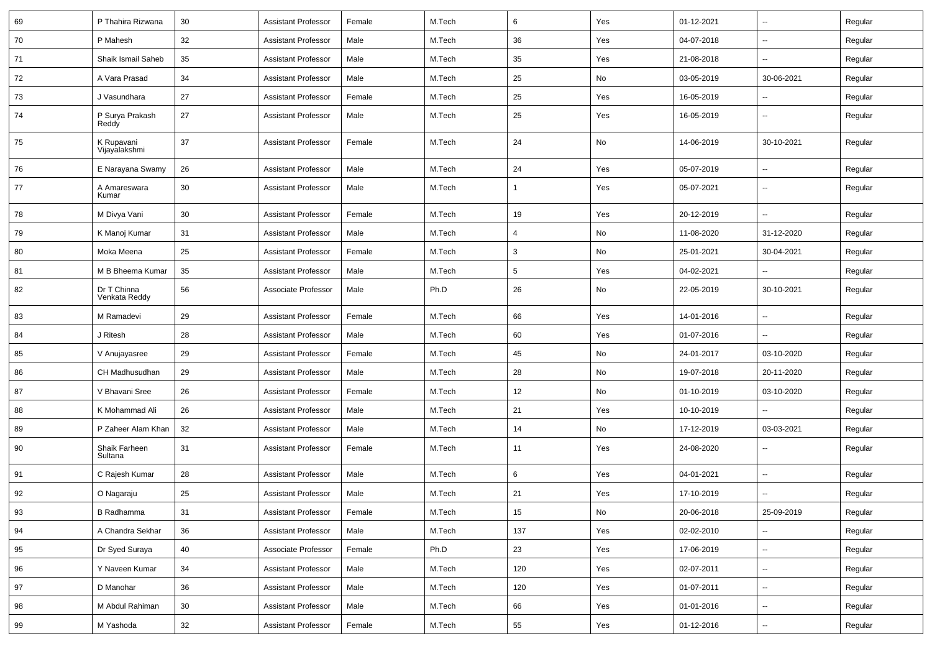| 69 | P Thahira Rizwana            | 30     | <b>Assistant Professor</b> | Female | M.Tech | 6              | Yes | 01-12-2021 | $\overline{\phantom{a}}$ | Regular |
|----|------------------------------|--------|----------------------------|--------|--------|----------------|-----|------------|--------------------------|---------|
| 70 | P Mahesh                     | 32     | <b>Assistant Professor</b> | Male   | M.Tech | 36             | Yes | 04-07-2018 | н.                       | Regular |
| 71 | Shaik Ismail Saheb           | 35     | <b>Assistant Professor</b> | Male   | M.Tech | 35             | Yes | 21-08-2018 | $\overline{a}$           | Regular |
| 72 | A Vara Prasad                | 34     | <b>Assistant Professor</b> | Male   | M.Tech | 25             | No  | 03-05-2019 | 30-06-2021               | Regular |
| 73 | J Vasundhara                 | 27     | <b>Assistant Professor</b> | Female | M.Tech | 25             | Yes | 16-05-2019 |                          | Regular |
| 74 | P Surya Prakash<br>Reddy     | 27     | <b>Assistant Professor</b> | Male   | M.Tech | 25             | Yes | 16-05-2019 | -−                       | Regular |
| 75 | K Rupavani<br>Vijayalakshmi  | 37     | <b>Assistant Professor</b> | Female | M.Tech | 24             | No  | 14-06-2019 | 30-10-2021               | Regular |
| 76 | E Narayana Swamy             | 26     | <b>Assistant Professor</b> | Male   | M.Tech | 24             | Yes | 05-07-2019 | $\sim$                   | Regular |
| 77 | A Amareswara<br>Kumar        | 30     | <b>Assistant Professor</b> | Male   | M.Tech |                | Yes | 05-07-2021 | $\overline{\phantom{a}}$ | Regular |
| 78 | M Divya Vani                 | 30     | <b>Assistant Professor</b> | Female | M.Tech | 19             | Yes | 20-12-2019 | ÷.                       | Regular |
| 79 | K Manoj Kumar                | 31     | <b>Assistant Professor</b> | Male   | M.Tech | $\overline{4}$ | No  | 11-08-2020 | 31-12-2020               | Regular |
| 80 | Moka Meena                   | 25     | <b>Assistant Professor</b> | Female | M.Tech | 3              | No  | 25-01-2021 | 30-04-2021               | Regular |
| 81 | M B Bheema Kumar             | 35     | <b>Assistant Professor</b> | Male   | M.Tech | $\sqrt{5}$     | Yes | 04-02-2021 |                          | Regular |
| 82 | Dr T Chinna<br>Venkata Reddy | 56     | Associate Professor        | Male   | Ph.D   | 26             | No  | 22-05-2019 | 30-10-2021               | Regular |
| 83 | M Ramadevi                   | 29     | <b>Assistant Professor</b> | Female | M.Tech | 66             | Yes | 14-01-2016 | --                       | Regular |
| 84 | J Ritesh                     | 28     | <b>Assistant Professor</b> | Male   | M.Tech | 60             | Yes | 01-07-2016 | ۵.                       | Regular |
| 85 | V Anujayasree                | 29     | <b>Assistant Professor</b> | Female | M.Tech | 45             | No  | 24-01-2017 | 03-10-2020               | Regular |
| 86 | CH Madhusudhan               | 29     | <b>Assistant Professor</b> | Male   | M.Tech | 28             | No  | 19-07-2018 | 20-11-2020               | Regular |
| 87 | V Bhavani Sree               | 26     | <b>Assistant Professor</b> | Female | M.Tech | 12             | No  | 01-10-2019 | 03-10-2020               | Regular |
| 88 | K Mohammad Ali               | 26     | <b>Assistant Professor</b> | Male   | M.Tech | 21             | Yes | 10-10-2019 | -−                       | Regular |
| 89 | P Zaheer Alam Khan           | 32     | <b>Assistant Professor</b> | Male   | M.Tech | 14             | No  | 17-12-2019 | 03-03-2021               | Regular |
| 90 | Shaik Farheen<br>Sultana     | 31     | <b>Assistant Professor</b> | Female | M.Tech | 11             | Yes | 24-08-2020 | --                       | Regular |
| 91 | C Rajesh Kumar               | 28     | <b>Assistant Professor</b> | Male   | M.Tech | 6              | Yes | 04-01-2021 | --                       | Regular |
| 92 | O Nagaraju                   | 25     | <b>Assistant Professor</b> | Male   | M.Tech | 21             | Yes | 17-10-2019 | $\overline{\phantom{a}}$ | Regular |
| 93 | B Radhamma                   | 31     | <b>Assistant Professor</b> | Female | M.Tech | 15             | No  | 20-06-2018 | 25-09-2019               | Regular |
| 94 | A Chandra Sekhar             | 36     | <b>Assistant Professor</b> | Male   | M.Tech | 137            | Yes | 02-02-2010 | ш,                       | Regular |
| 95 | Dr Syed Suraya               | 40     | Associate Professor        | Female | Ph.D   | 23             | Yes | 17-06-2019 | $\sim$                   | Regular |
| 96 | Y Naveen Kumar               | 34     | <b>Assistant Professor</b> | Male   | M.Tech | 120            | Yes | 02-07-2011 | щ.                       | Regular |
| 97 | D Manohar                    | 36     | <b>Assistant Professor</b> | Male   | M.Tech | 120            | Yes | 01-07-2011 | Щ,                       | Regular |
| 98 | M Abdul Rahiman              | 30     | <b>Assistant Professor</b> | Male   | M.Tech | 66             | Yes | 01-01-2016 | $\overline{\phantom{a}}$ | Regular |
| 99 | M Yashoda                    | $32\,$ | <b>Assistant Professor</b> | Female | M.Tech | 55             | Yes | 01-12-2016 | $\sim$                   | Regular |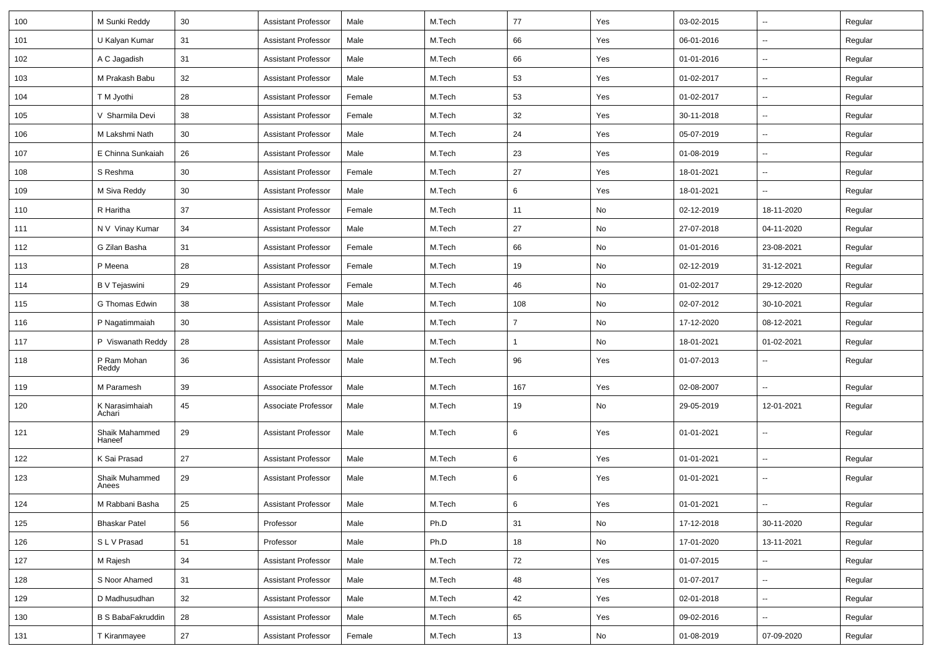| 100 | M Sunki Reddy            | 30 | <b>Assistant Professor</b> | Male   | M.Tech | 77             | Yes | 03-02-2015 | $\overline{\phantom{a}}$ | Regular |
|-----|--------------------------|----|----------------------------|--------|--------|----------------|-----|------------|--------------------------|---------|
| 101 | U Kalyan Kumar           | 31 | <b>Assistant Professor</b> | Male   | M.Tech | 66             | Yes | 06-01-2016 | $\sim$                   | Regular |
| 102 | A C Jagadish             | 31 | <b>Assistant Professor</b> | Male   | M.Tech | 66             | Yes | 01-01-2016 |                          | Regular |
| 103 | M Prakash Babu           | 32 | <b>Assistant Professor</b> | Male   | M.Tech | 53             | Yes | 01-02-2017 | --                       | Regular |
| 104 | T M Jyothi               | 28 | <b>Assistant Professor</b> | Female | M.Tech | 53             | Yes | 01-02-2017 | $\overline{\phantom{a}}$ | Regular |
| 105 | V Sharmila Devi          | 38 | <b>Assistant Professor</b> | Female | M.Tech | 32             | Yes | 30-11-2018 |                          | Regular |
| 106 | M Lakshmi Nath           | 30 | <b>Assistant Professor</b> | Male   | M.Tech | 24             | Yes | 05-07-2019 | $\overline{\phantom{a}}$ | Regular |
| 107 | E Chinna Sunkaiah        | 26 | <b>Assistant Professor</b> | Male   | M.Tech | 23             | Yes | 01-08-2019 | $\sim$                   | Regular |
| 108 | S Reshma                 | 30 | <b>Assistant Professor</b> | Female | M.Tech | 27             | Yes | 18-01-2021 | $\overline{\phantom{a}}$ | Regular |
| 109 | M Siva Reddy             | 30 | <b>Assistant Professor</b> | Male   | M.Tech | 6              | Yes | 18-01-2021 |                          | Regular |
| 110 | R Haritha                | 37 | <b>Assistant Professor</b> | Female | M.Tech | 11             | No  | 02-12-2019 | 18-11-2020               | Regular |
| 111 | N V Vinay Kumar          | 34 | <b>Assistant Professor</b> | Male   | M.Tech | 27             | No  | 27-07-2018 | 04-11-2020               | Regular |
| 112 | G Zilan Basha            | 31 | <b>Assistant Professor</b> | Female | M.Tech | 66             | No  | 01-01-2016 | 23-08-2021               | Regular |
| 113 | P Meena                  | 28 | <b>Assistant Professor</b> | Female | M.Tech | 19             | No  | 02-12-2019 | 31-12-2021               | Regular |
| 114 | <b>B</b> V Tejaswini     | 29 | <b>Assistant Professor</b> | Female | M.Tech | 46             | No  | 01-02-2017 | 29-12-2020               | Regular |
| 115 | G Thomas Edwin           | 38 | <b>Assistant Professor</b> | Male   | M.Tech | 108            | No  | 02-07-2012 | 30-10-2021               | Regular |
| 116 | P Nagatimmaiah           | 30 | <b>Assistant Professor</b> | Male   | M.Tech | $\overline{7}$ | No  | 17-12-2020 | 08-12-2021               | Regular |
| 117 | P Viswanath Reddy        | 28 | <b>Assistant Professor</b> | Male   | M.Tech | $\mathbf{1}$   | No  | 18-01-2021 | 01-02-2021               | Regular |
| 118 | P Ram Mohan<br>Reddy     | 36 | <b>Assistant Professor</b> | Male   | M.Tech | 96             | Yes | 01-07-2013 |                          | Regular |
| 119 | M Paramesh               | 39 | Associate Professor        | Male   | M.Tech | 167            | Yes | 02-08-2007 | ц.                       | Regular |
| 120 | K Narasimhaiah<br>Achari | 45 | Associate Professor        | Male   | M.Tech | 19             | No  | 29-05-2019 | 12-01-2021               | Regular |
| 121 | Shaik Mahammed<br>Haneef | 29 | <b>Assistant Professor</b> | Male   | M.Tech | 6              | Yes | 01-01-2021 | $\sim$                   | Regular |
| 122 | K Sai Prasad             | 27 | <b>Assistant Professor</b> | Male   | M.Tech | 6              | Yes | 01-01-2021 | $\sim$                   | Regular |
| 123 | Shaik Muhammed<br>Anees  | 29 | <b>Assistant Professor</b> | Male   | M.Tech | 6              | Yes | 01-01-2021 | $\overline{\phantom{a}}$ | Regular |
| 124 | M Rabbani Basha          | 25 | Assistant Professor        | Male   | M.Tech | 6              | Yes | 01-01-2021 | $\overline{\phantom{a}}$ | Regular |
| 125 | <b>Bhaskar Patel</b>     | 56 | Professor                  | Male   | Ph.D   | 31             | No  | 17-12-2018 | 30-11-2020               | Regular |
| 126 | SLV Prasad               | 51 | Professor                  | Male   | Ph.D   | 18             | No  | 17-01-2020 | 13-11-2021               | Regular |
| 127 | M Rajesh                 | 34 | <b>Assistant Professor</b> | Male   | M.Tech | 72             | Yes | 01-07-2015 |                          | Regular |
| 128 | S Noor Ahamed            | 31 | <b>Assistant Professor</b> | Male   | M.Tech | 48             | Yes | 01-07-2017 | $\sim$                   | Regular |
| 129 | D Madhusudhan            | 32 | <b>Assistant Professor</b> | Male   | M.Tech | 42             | Yes | 02-01-2018 | $\sim$                   | Regular |
| 130 | <b>B S BabaFakruddin</b> | 28 | <b>Assistant Professor</b> | Male   | M.Tech | 65             | Yes | 09-02-2016 | н.                       | Regular |
| 131 | T Kiranmayee             | 27 | Assistant Professor        | Female | M.Tech | 13             | No  | 01-08-2019 | 07-09-2020               | Regular |